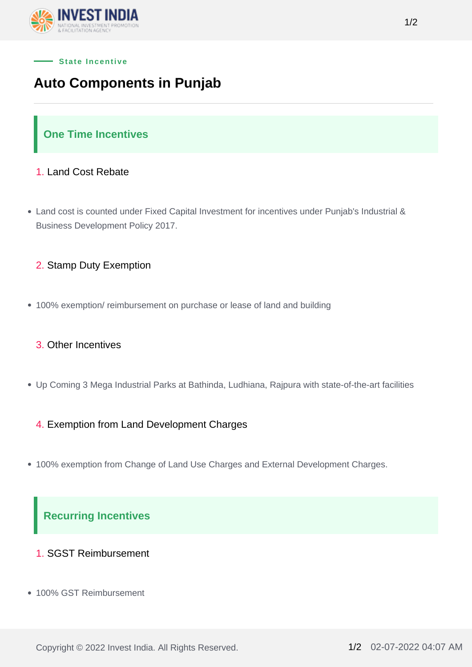



# **Auto Components in Punjab**

# **One Time Incentives**

### 1. Land Cost Rebate

- Land cost is counted under Fixed Capital Investment for incentives under Punjab's Industrial & Business Development Policy 2017.
	- 2. Stamp Duty Exemption
- 100% exemption/ reimbursement on purchase or lease of land and building

#### 3. Other Incentives

Up Coming 3 Mega Industrial Parks at Bathinda, Ludhiana, Rajpura with state-of-the-art facilities

#### 4. Exemption from Land Development Charges

100% exemption from Change of Land Use Charges and External Development Charges.

# **Recurring Incentives**

- 1. SGST Reimbursement
- 100% GST Reimbursement